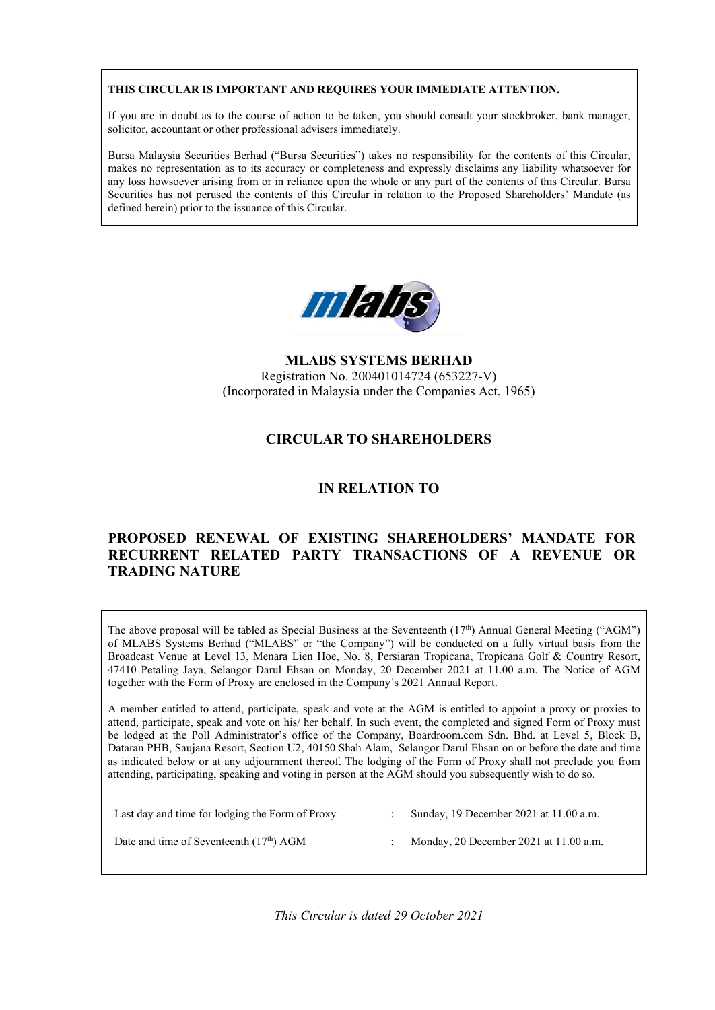#### **THIS CIRCULAR IS IMPORTANT AND REQUIRES YOUR IMMEDIATE ATTENTION.**

If you are in doubt as to the course of action to be taken, you should consult your stockbroker, bank manager, solicitor, accountant or other professional advisers immediately.

Bursa Malaysia Securities Berhad ("Bursa Securities") takes no responsibility for the contents of this Circular, makes no representation as to its accuracy or completeness and expressly disclaims any liability whatsoever for any loss howsoever arising from or in reliance upon the whole or any part of the contents of this Circular. Bursa Securities has not perused the contents of this Circular in relation to the Proposed Shareholders' Mandate (as defined herein) prior to the issuance of this Circular.



**MLABS SYSTEMS BERHAD**  Registration No. 200401014724 (653227-V) (Incorporated in Malaysia under the Companies Act, 1965)

# **CIRCULAR TO SHAREHOLDERS**

# **IN RELATION TO**

# **PROPOSED RENEWAL OF EXISTING SHAREHOLDERS' MANDATE FOR RECURRENT RELATED PARTY TRANSACTIONS OF A REVENUE OR TRADING NATURE**

The above proposal will be tabled as Special Business at the Seventeenth  $(17<sup>th</sup>)$  Annual General Meeting ("AGM") of MLABS Systems Berhad ("MLABS" or "the Company") will be conducted on a fully virtual basis from the Broadcast Venue at Level 13, Menara Lien Hoe, No. 8, Persiaran Tropicana, Tropicana Golf & Country Resort, 47410 Petaling Jaya, Selangor Darul Ehsan on Monday, 20 December 2021 at 11.00 a.m. The Notice of AGM together with the Form of Proxy are enclosed in the Company's 2021 Annual Report.

A member entitled to attend, participate, speak and vote at the AGM is entitled to appoint a proxy or proxies to attend, participate, speak and vote on his/ her behalf. In such event, the completed and signed Form of Proxy must be lodged at the Poll Administrator's office of the Company, Boardroom.com Sdn. Bhd. at Level 5, Block B, Dataran PHB, Saujana Resort, Section U2, 40150 Shah Alam, Selangor Darul Ehsan on or before the date and time as indicated below or at any adjournment thereof. The lodging of the Form of Proxy shall not preclude you from attending, participating, speaking and voting in person at the AGM should you subsequently wish to do so.

| Last day and time for lodging the Form of Proxy | Sunday, 19 December 2021 at 11.00 a.m.   |
|-------------------------------------------------|------------------------------------------|
| Date and time of Seventeenth $(17th)$ AGM       | Monday, 20 December 2021 at $11.00$ a.m. |

*This Circular is dated 29 October 2021*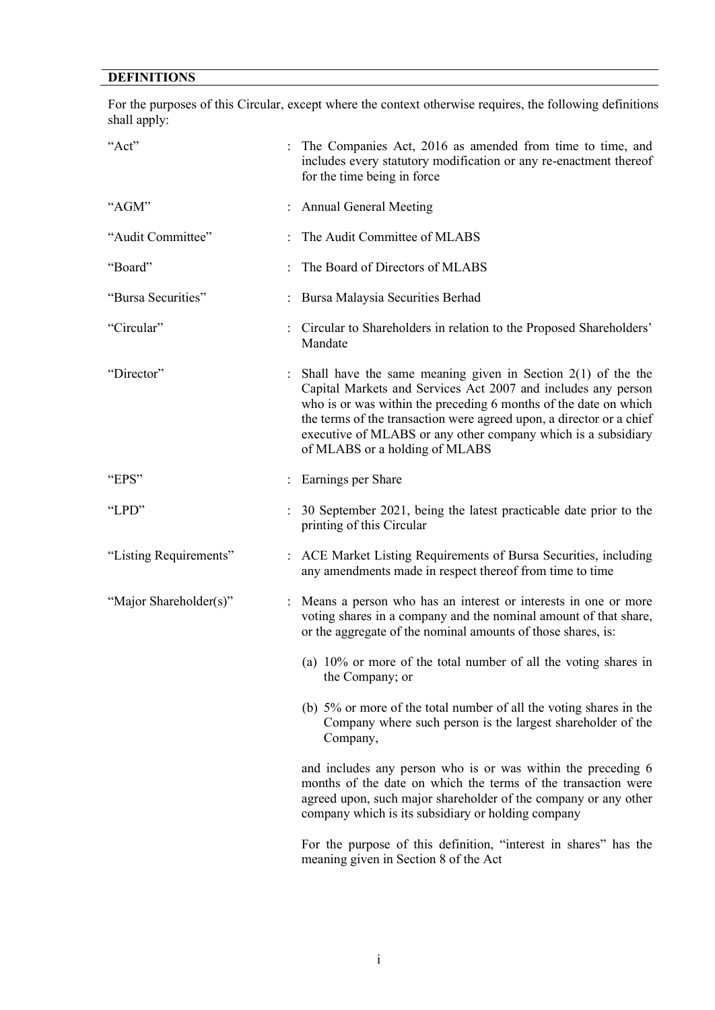# **DEFINITIONS**

For the purposes of this Circular, except where the context otherwise requires, the following definitions shall apply:

| "Act"                  | The Companies Act, 2016 as amended from time to time, and<br>includes every statutory modification or any re-enactment thereof<br>for the time being in force                                                                                                                                                                                                                  |
|------------------------|--------------------------------------------------------------------------------------------------------------------------------------------------------------------------------------------------------------------------------------------------------------------------------------------------------------------------------------------------------------------------------|
| "AGM"                  | <b>Annual General Meeting</b>                                                                                                                                                                                                                                                                                                                                                  |
| "Audit Committee"      | The Audit Committee of MLABS                                                                                                                                                                                                                                                                                                                                                   |
| "Board"                | The Board of Directors of MLABS                                                                                                                                                                                                                                                                                                                                                |
| "Bursa Securities"     | Bursa Malaysia Securities Berhad                                                                                                                                                                                                                                                                                                                                               |
| "Circular"             | : Circular to Shareholders in relation to the Proposed Shareholders'<br>Mandate                                                                                                                                                                                                                                                                                                |
| "Director"             | Shall have the same meaning given in Section $2(1)$ of the the<br>Capital Markets and Services Act 2007 and includes any person<br>who is or was within the preceding 6 months of the date on which<br>the terms of the transaction were agreed upon, a director or a chief<br>executive of MLABS or any other company which is a subsidiary<br>of MLABS or a holding of MLABS |
| "EPS"                  | Earnings per Share                                                                                                                                                                                                                                                                                                                                                             |
| "LPD"                  | 30 September 2021, being the latest practicable date prior to the<br>printing of this Circular                                                                                                                                                                                                                                                                                 |
| "Listing Requirements" | : ACE Market Listing Requirements of Bursa Securities, including<br>any amendments made in respect thereof from time to time                                                                                                                                                                                                                                                   |
| "Major Shareholder(s)" | : Means a person who has an interest or interests in one or more<br>voting shares in a company and the nominal amount of that share,<br>or the aggregate of the nominal amounts of those shares, is:                                                                                                                                                                           |
|                        | (a) $10\%$ or more of the total number of all the voting shares in<br>the Company; or                                                                                                                                                                                                                                                                                          |
|                        | (b) 5% or more of the total number of all the voting shares in the<br>Company where such person is the largest shareholder of the<br>Company,                                                                                                                                                                                                                                  |
|                        | and includes any person who is or was within the preceding 6<br>months of the date on which the terms of the transaction were<br>agreed upon, such major shareholder of the company or any other<br>company which is its subsidiary or holding company                                                                                                                         |
|                        | For the purpose of this definition, "interest in shares" has the<br>meaning given in Section 8 of the Act                                                                                                                                                                                                                                                                      |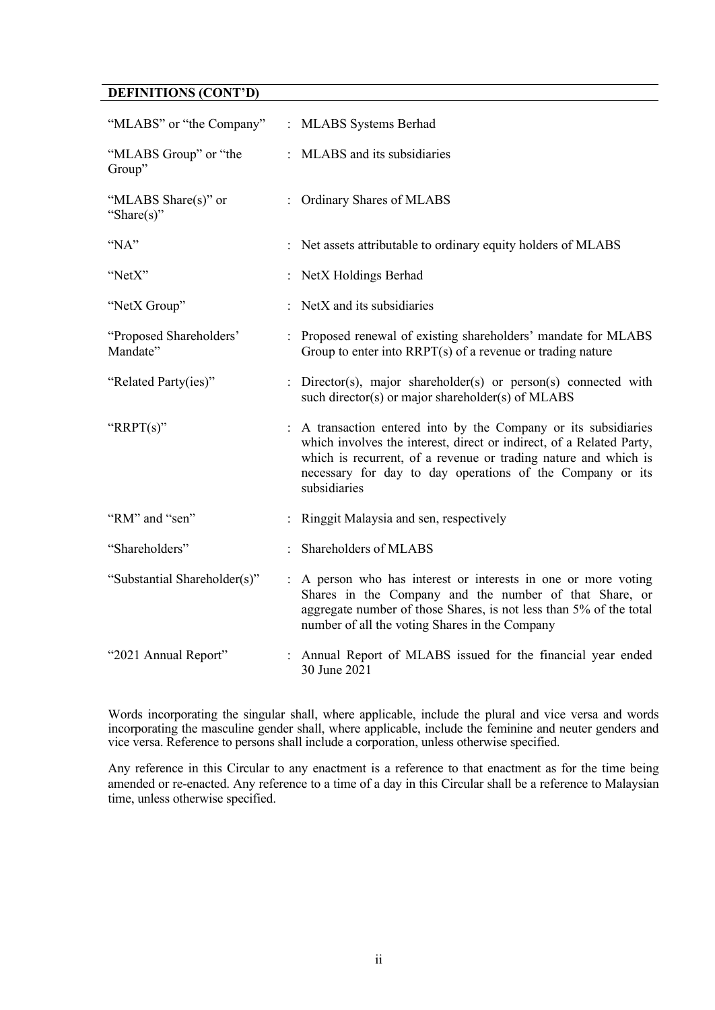# **DEFINITIONS (CONT'D)**

| "MLABS" or "the Company"            | : MLABS Systems Berhad                                                                                                                                                                                                                                                                  |
|-------------------------------------|-----------------------------------------------------------------------------------------------------------------------------------------------------------------------------------------------------------------------------------------------------------------------------------------|
| "MLABS Group" or "the<br>Group"     | : MLABS and its subsidiaries                                                                                                                                                                                                                                                            |
| "MLABS Share(s)" or<br>"Share(s)"   | : Ordinary Shares of MLABS                                                                                                                                                                                                                                                              |
| "NA"                                | : Net assets attributable to ordinary equity holders of MLABS                                                                                                                                                                                                                           |
| "NetX"                              | : NetX Holdings Berhad                                                                                                                                                                                                                                                                  |
| "NetX Group"                        | : NetX and its subsidiaries                                                                                                                                                                                                                                                             |
| "Proposed Shareholders"<br>Mandate" | : Proposed renewal of existing shareholders' mandate for MLABS<br>Group to enter into $RRPT(s)$ of a revenue or trading nature                                                                                                                                                          |
| "Related Party(ies)"                | : Director(s), major shareholder(s) or person(s) connected with<br>such director(s) or major shareholder(s) of MLABS                                                                                                                                                                    |
| "RRPT $(s)$ "                       | : A transaction entered into by the Company or its subsidiaries<br>which involves the interest, direct or indirect, of a Related Party,<br>which is recurrent, of a revenue or trading nature and which is<br>necessary for day to day operations of the Company or its<br>subsidiaries |
| "RM" and "sen"                      | Ringgit Malaysia and sen, respectively                                                                                                                                                                                                                                                  |
| "Shareholders"                      | Shareholders of MLABS                                                                                                                                                                                                                                                                   |
| "Substantial Shareholder(s)"        | : A person who has interest or interests in one or more voting<br>Shares in the Company and the number of that Share, or<br>aggregate number of those Shares, is not less than 5% of the total<br>number of all the voting Shares in the Company                                        |
| "2021 Annual Report"                | : Annual Report of MLABS issued for the financial year ended<br>30 June 2021                                                                                                                                                                                                            |

Words incorporating the singular shall, where applicable, include the plural and vice versa and words incorporating the masculine gender shall, where applicable, include the feminine and neuter genders and vice versa. Reference to persons shall include a corporation, unless otherwise specified.

Any reference in this Circular to any enactment is a reference to that enactment as for the time being amended or re-enacted. Any reference to a time of a day in this Circular shall be a reference to Malaysian time, unless otherwise specified.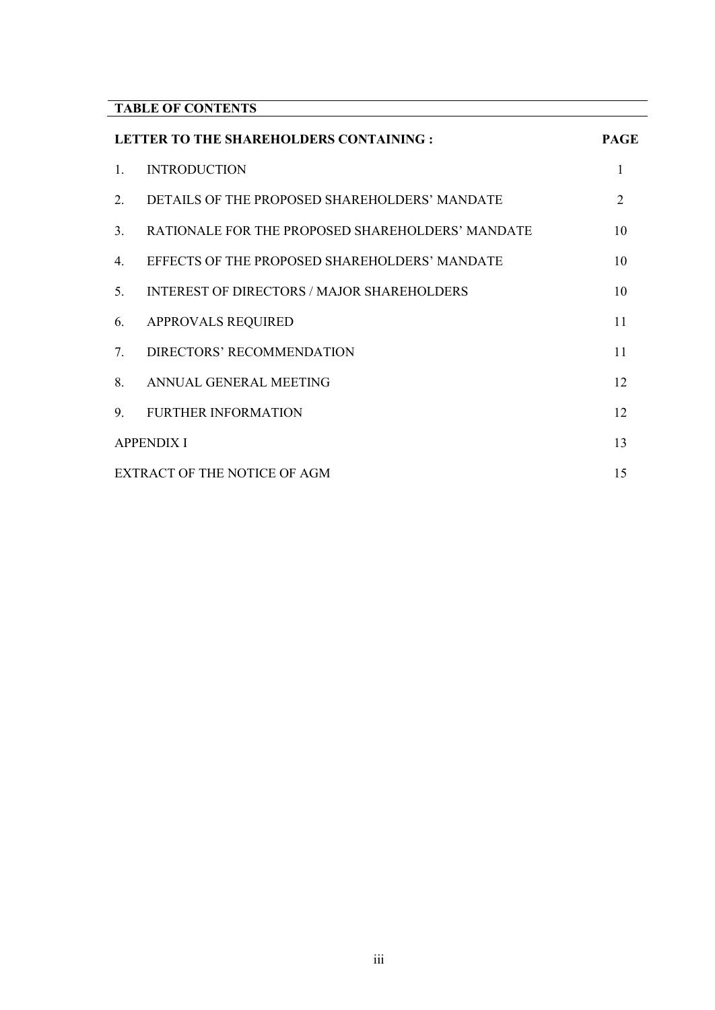| <b>TABLE OF CONTENTS</b> |  |
|--------------------------|--|

|    | LETTER TO THE SHAREHOLDERS CONTAINING :          | <b>PAGE</b>                 |
|----|--------------------------------------------------|-----------------------------|
| 1. | <b>INTRODUCTION</b>                              |                             |
| 2. | DETAILS OF THE PROPOSED SHAREHOLDERS' MANDATE    | $\mathcal{D}_{\mathcal{L}}$ |
| 3. | RATIONALE FOR THE PROPOSED SHAREHOLDERS' MANDATE | 10                          |
| 4. | EFFECTS OF THE PROPOSED SHAREHOLDERS' MANDATE    | 10                          |
| 5. | INTEREST OF DIRECTORS / MAJOR SHAREHOLDERS       | 10                          |
| 6. | <b>APPROVALS REQUIRED</b>                        | 11                          |
| 7. | DIRECTORS' RECOMMENDATION                        | 11                          |
| 8. | ANNUAL GENERAL MEETING                           | 12                          |
| 9. | <b>FURTHER INFORMATION</b>                       | 12                          |
|    | <b>APPENDIX I</b>                                | 13                          |
|    | EXTRACT OF THE NOTICE OF AGM                     | 15                          |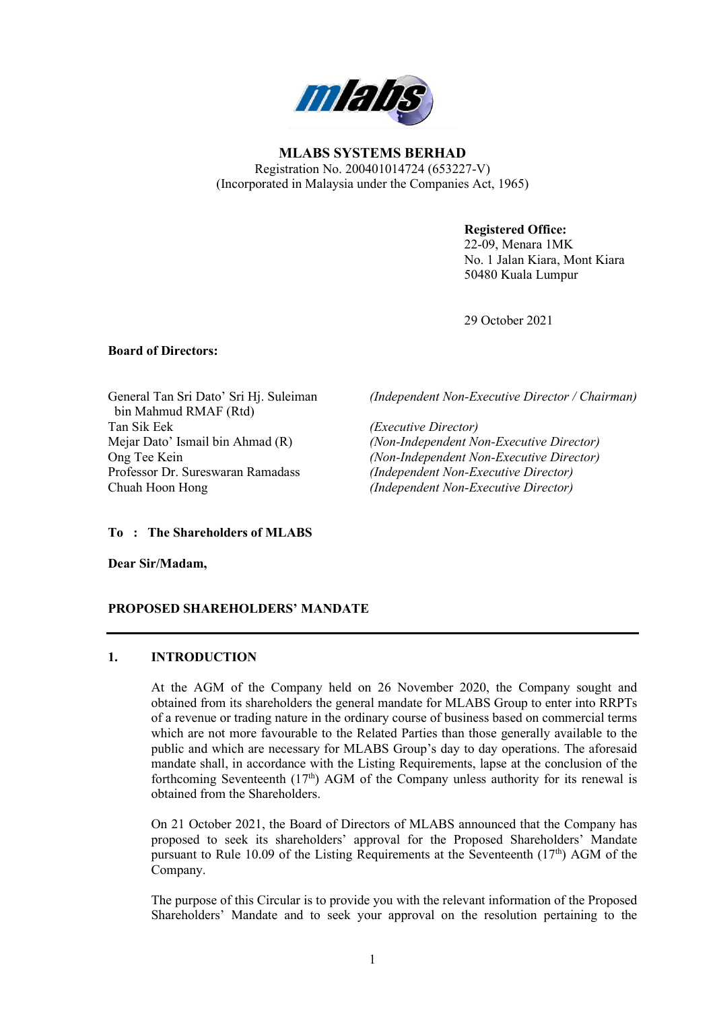

**MLABS SYSTEMS BERHAD**  Registration No. 200401014724 (653227-V) (Incorporated in Malaysia under the Companies Act, 1965)

### **Registered Office:**

22-09, Menara 1MK No. 1 Jalan Kiara, Mont Kiara 50480 Kuala Lumpur

29 October 2021

#### **Board of Directors:**

General Tan Sri Dato' Sri Hj. Suleiman bin Mahmud RMAF (Rtd) Tan Sik Eek *(Executive Director)* Professor Dr. Sureswaran Ramadass *(Independent Non-Executive Director)* Chuah Hoon Hong *(Independent Non-Executive Director)*

*(Independent Non-Executive Director / Chairman)*

(Non-Independent Non-Executive Director) Ong Tee Kein *(Non-Independent Non-Executive Director)*

**To : The Shareholders of MLABS**

**Dear Sir/Madam,**

#### **PROPOSED SHAREHOLDERS' MANDATE**

#### **1. INTRODUCTION**

At the AGM of the Company held on 26 November 2020, the Company sought and obtained from its shareholders the general mandate for MLABS Group to enter into RRPTs of a revenue or trading nature in the ordinary course of business based on commercial terms which are not more favourable to the Related Parties than those generally available to the public and which are necessary for MLABS Group's day to day operations. The aforesaid mandate shall, in accordance with the Listing Requirements, lapse at the conclusion of the forthcoming Seventeenth  $(17<sup>th</sup>)$  AGM of the Company unless authority for its renewal is obtained from the Shareholders.

On 21 October 2021, the Board of Directors of MLABS announced that the Company has proposed to seek its shareholders' approval for the Proposed Shareholders' Mandate pursuant to Rule 10.09 of the Listing Requirements at the Seventeenth  $(17<sup>th</sup>)$  AGM of the Company.

The purpose of this Circular is to provide you with the relevant information of the Proposed Shareholders' Mandate and to seek your approval on the resolution pertaining to the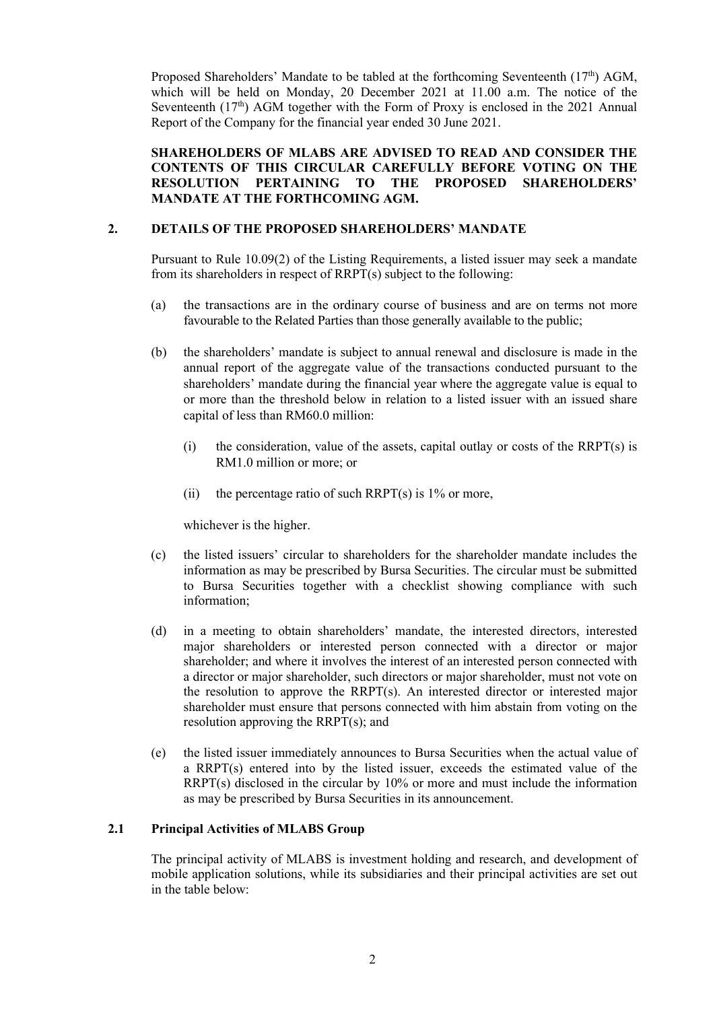Proposed Shareholders' Mandate to be tabled at the forthcoming Seventeenth  $(17<sup>th</sup>)$  AGM, which will be held on Monday, 20 December 2021 at 11.00 a.m. The notice of the Seventeenth  $(17<sup>th</sup>)$  AGM together with the Form of Proxy is enclosed in the 2021 Annual Report of the Company for the financial year ended 30 June 2021.

#### **SHAREHOLDERS OF MLABS ARE ADVISED TO READ AND CONSIDER THE CONTENTS OF THIS CIRCULAR CAREFULLY BEFORE VOTING ON THE RESOLUTION PERTAINING TO THE PROPOSED SHAREHOLDERS' MANDATE AT THE FORTHCOMING AGM.**

### **2. DETAILS OF THE PROPOSED SHAREHOLDERS' MANDATE**

Pursuant to Rule 10.09(2) of the Listing Requirements, a listed issuer may seek a mandate from its shareholders in respect of RRPT(s) subject to the following:

- (a) the transactions are in the ordinary course of business and are on terms not more favourable to the Related Parties than those generally available to the public;
- (b) the shareholders' mandate is subject to annual renewal and disclosure is made in the annual report of the aggregate value of the transactions conducted pursuant to the shareholders' mandate during the financial year where the aggregate value is equal to or more than the threshold below in relation to a listed issuer with an issued share capital of less than RM60.0 million:
	- $(i)$  the consideration, value of the assets, capital outlay or costs of the RRPT $(s)$  is RM1.0 million or more; or
	- (ii) the percentage ratio of such RRPT(s) is  $1\%$  or more,

whichever is the higher.

- (c) the listed issuers' circular to shareholders for the shareholder mandate includes the information as may be prescribed by Bursa Securities. The circular must be submitted to Bursa Securities together with a checklist showing compliance with such information;
- (d) in a meeting to obtain shareholders' mandate, the interested directors, interested major shareholders or interested person connected with a director or major shareholder; and where it involves the interest of an interested person connected with a director or major shareholder, such directors or major shareholder, must not vote on the resolution to approve the  $RRPT(s)$ . An interested director or interested major shareholder must ensure that persons connected with him abstain from voting on the resolution approving the RRPT(s); and
- (e) the listed issuer immediately announces to Bursa Securities when the actual value of a RRPT(s) entered into by the listed issuer, exceeds the estimated value of the RRPT(s) disclosed in the circular by 10% or more and must include the information as may be prescribed by Bursa Securities in its announcement.

# **2.1 Principal Activities of MLABS Group**

The principal activity of MLABS is investment holding and research, and development of mobile application solutions, while its subsidiaries and their principal activities are set out in the table below: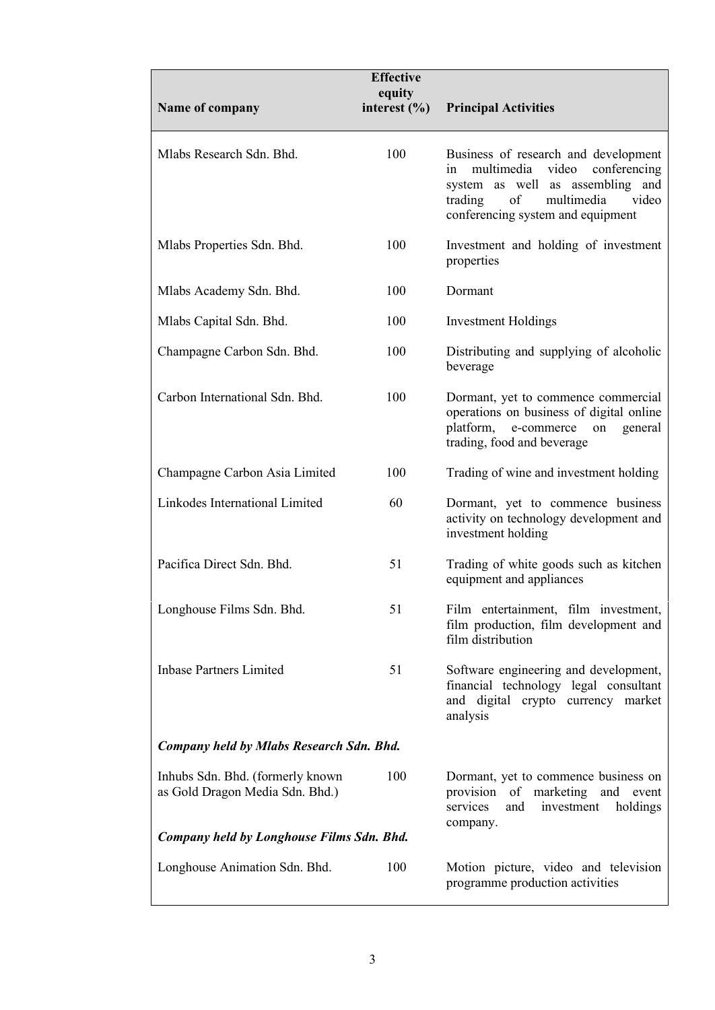|                                                                                                                  | <b>Effective</b>           |                                                                                                                                                                                                    |
|------------------------------------------------------------------------------------------------------------------|----------------------------|----------------------------------------------------------------------------------------------------------------------------------------------------------------------------------------------------|
| Name of company                                                                                                  | equity<br>interest $(\% )$ | <b>Principal Activities</b>                                                                                                                                                                        |
| Mlabs Research Sdn. Bhd.                                                                                         | 100                        | Business of research and development<br>video<br>multimedia<br>conferencing<br>in<br>system as well as assembling and<br>of<br>multimedia<br>video<br>trading<br>conferencing system and equipment |
| Mlabs Properties Sdn. Bhd.                                                                                       | 100                        | Investment and holding of investment<br>properties                                                                                                                                                 |
| Mlabs Academy Sdn. Bhd.                                                                                          | 100                        | Dormant                                                                                                                                                                                            |
| Mlabs Capital Sdn. Bhd.                                                                                          | 100                        | <b>Investment Holdings</b>                                                                                                                                                                         |
| Champagne Carbon Sdn. Bhd.                                                                                       | 100                        | Distributing and supplying of alcoholic<br>beverage                                                                                                                                                |
| Carbon International Sdn. Bhd.                                                                                   | 100                        | Dormant, yet to commence commercial<br>operations on business of digital online<br>platform,<br>e-commerce<br>general<br>on<br>trading, food and beverage                                          |
| Champagne Carbon Asia Limited                                                                                    | 100                        | Trading of wine and investment holding                                                                                                                                                             |
| Linkodes International Limited                                                                                   | 60                         | Dormant, yet to commence business<br>activity on technology development and<br>investment holding                                                                                                  |
| Pacifica Direct Sdn. Bhd.                                                                                        | 51                         | Trading of white goods such as kitchen<br>equipment and appliances                                                                                                                                 |
| Longhouse Films Sdn. Bhd.                                                                                        | 51                         | Film entertainment, film investment,<br>film production, film development and<br>film distribution                                                                                                 |
| <b>Inbase Partners Limited</b>                                                                                   | 51                         | Software engineering and development,<br>financial technology legal consultant<br>and digital crypto currency market<br>analysis                                                                   |
| Company held by Mlabs Research Sdn. Bhd.                                                                         |                            |                                                                                                                                                                                                    |
| Inhubs Sdn. Bhd. (formerly known<br>as Gold Dragon Media Sdn. Bhd.)<br>Company held by Longhouse Films Sdn. Bhd. | 100                        | Dormant, yet to commence business on<br>provision of marketing and event<br>services<br>investment<br>and<br>holdings<br>company.                                                                  |
|                                                                                                                  |                            |                                                                                                                                                                                                    |
| Longhouse Animation Sdn. Bhd.                                                                                    | 100                        | Motion picture, video and television<br>programme production activities                                                                                                                            |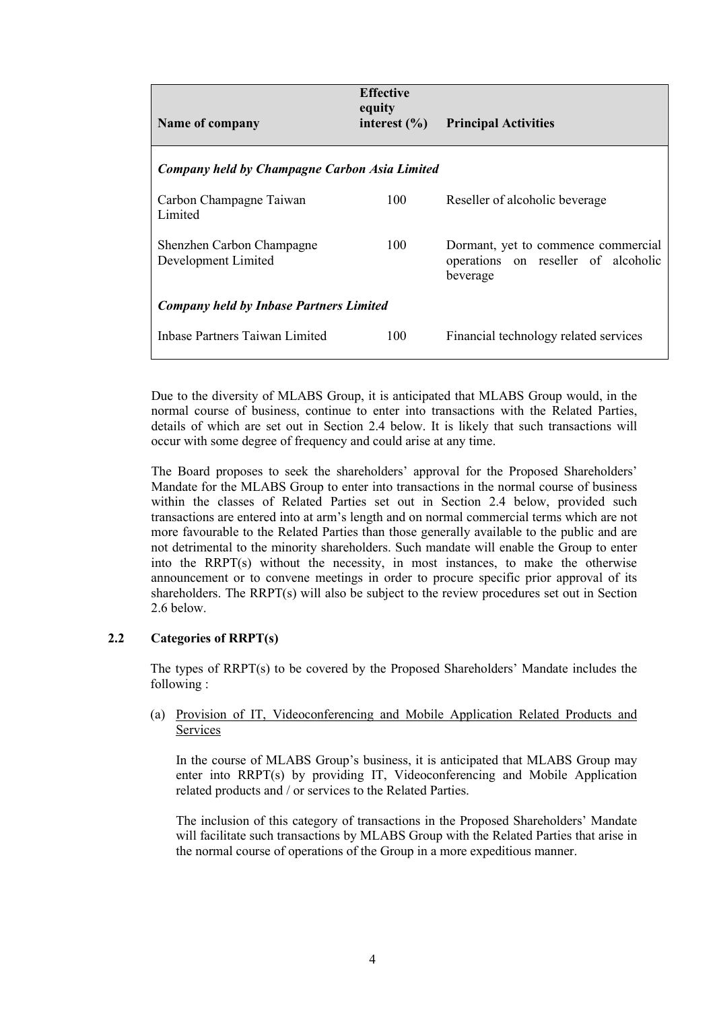| Name of company                                  | <b>Effective</b><br>equity<br>interest $(\% )$ | <b>Principal Activities</b>                                                            |  |  |  |  |  |
|--------------------------------------------------|------------------------------------------------|----------------------------------------------------------------------------------------|--|--|--|--|--|
|                                                  | Company held by Champagne Carbon Asia Limited  |                                                                                        |  |  |  |  |  |
| Carbon Champagne Taiwan<br>Limited               | 100                                            | Reseller of alcoholic beverage                                                         |  |  |  |  |  |
| Shenzhen Carbon Champagne<br>Development Limited | 100                                            | Dormant, yet to commence commercial<br>operations on reseller of alcoholic<br>beverage |  |  |  |  |  |
| <b>Company held by Inbase Partners Limited</b>   |                                                |                                                                                        |  |  |  |  |  |
| Inbase Partners Taiwan Limited                   | 100                                            | Financial technology related services                                                  |  |  |  |  |  |

Due to the diversity of MLABS Group, it is anticipated that MLABS Group would, in the normal course of business, continue to enter into transactions with the Related Parties, details of which are set out in Section 2.4 below. It is likely that such transactions will occur with some degree of frequency and could arise at any time.

The Board proposes to seek the shareholders' approval for the Proposed Shareholders' Mandate for the MLABS Group to enter into transactions in the normal course of business within the classes of Related Parties set out in Section 2.4 below, provided such transactions are entered into at arm's length and on normal commercial terms which are not more favourable to the Related Parties than those generally available to the public and are not detrimental to the minority shareholders. Such mandate will enable the Group to enter into the RRPT(s) without the necessity, in most instances, to make the otherwise announcement or to convene meetings in order to procure specific prior approval of its shareholders. The RRPT(s) will also be subject to the review procedures set out in Section 2.6 below.

# **2.2 Categories of RRPT(s)**

The types of RRPT(s) to be covered by the Proposed Shareholders' Mandate includes the following :

### (a) Provision of IT, Videoconferencing and Mobile Application Related Products and Services

In the course of MLABS Group's business, it is anticipated that MLABS Group may enter into RRPT(s) by providing IT, Videoconferencing and Mobile Application related products and / or services to the Related Parties.

The inclusion of this category of transactions in the Proposed Shareholders' Mandate will facilitate such transactions by MLABS Group with the Related Parties that arise in the normal course of operations of the Group in a more expeditious manner.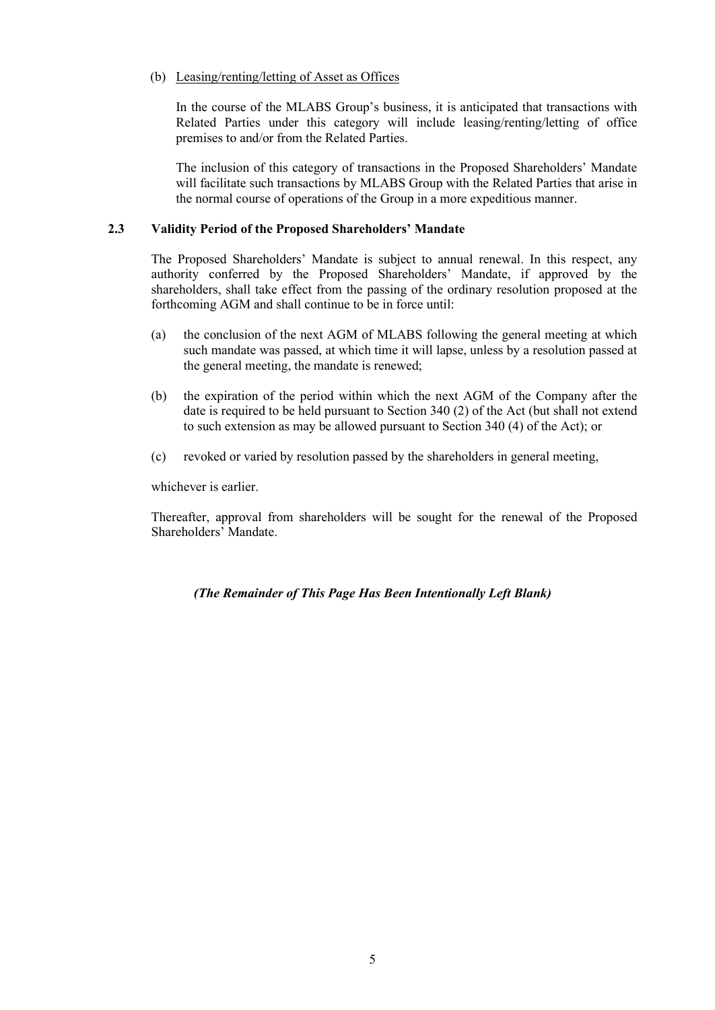### (b) Leasing/renting/letting of Asset as Offices

In the course of the MLABS Group's business, it is anticipated that transactions with Related Parties under this category will include leasing/renting/letting of office premises to and/or from the Related Parties.

The inclusion of this category of transactions in the Proposed Shareholders' Mandate will facilitate such transactions by MLABS Group with the Related Parties that arise in the normal course of operations of the Group in a more expeditious manner.

#### **2.3 Validity Period of the Proposed Shareholders' Mandate**

The Proposed Shareholders' Mandate is subject to annual renewal. In this respect, any authority conferred by the Proposed Shareholders' Mandate, if approved by the shareholders, shall take effect from the passing of the ordinary resolution proposed at the forthcoming AGM and shall continue to be in force until:

- (a) the conclusion of the next AGM of MLABS following the general meeting at which such mandate was passed, at which time it will lapse, unless by a resolution passed at the general meeting, the mandate is renewed;
- (b) the expiration of the period within which the next AGM of the Company after the date is required to be held pursuant to Section 340 (2) of the Act (but shall not extend to such extension as may be allowed pursuant to Section 340 (4) of the Act); or
- (c) revoked or varied by resolution passed by the shareholders in general meeting,

whichever is earlier.

Thereafter, approval from shareholders will be sought for the renewal of the Proposed Shareholders' Mandate.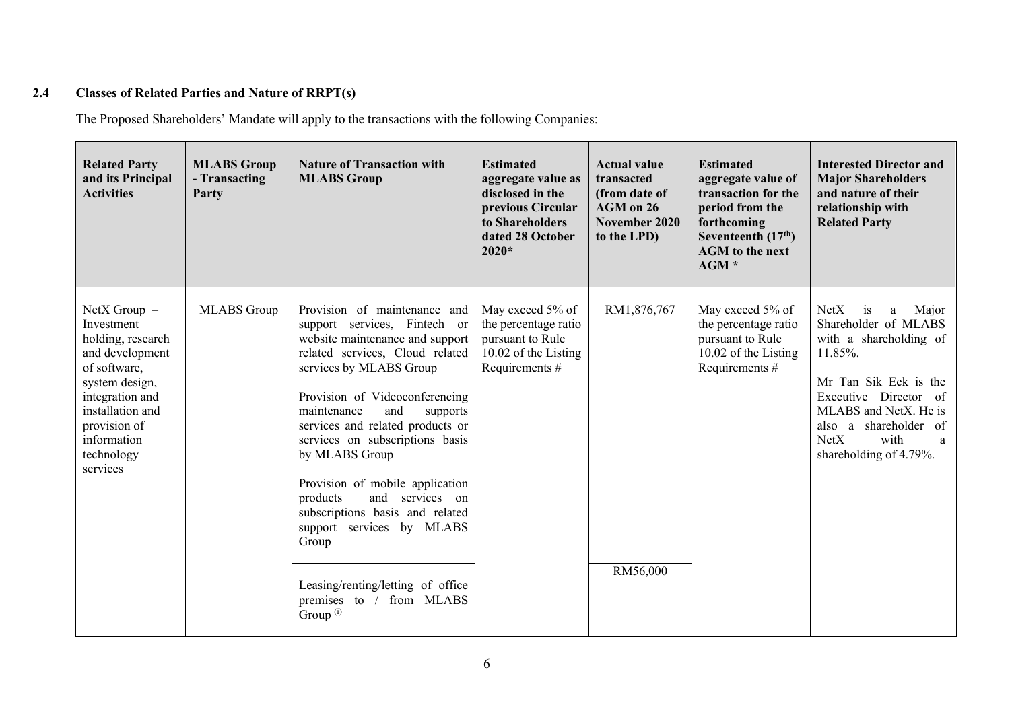# **2.4 Classes of Related Parties and Nature of RRPT(s)**

The Proposed Shareholders' Mandate will apply to the transactions with the following Companies:

| <b>Related Party</b><br>and its Principal<br><b>Activities</b>                                                                                                                                         | <b>MLABS Group</b><br>- Transacting<br>Party | <b>Nature of Transaction with</b><br><b>MLABS Group</b>                                                                                                                                                                                                                                                                                                                                                                                                                                                                                                    | <b>Estimated</b><br>aggregate value as<br>disclosed in the<br>previous Circular<br>to Shareholders<br>dated 28 October<br>$2020*$ | <b>Actual value</b><br>transacted<br>(from date of<br>AGM on 26<br>November 2020<br>to the LPD) | <b>Estimated</b><br>aggregate value of<br>transaction for the<br>period from the<br>forthcoming<br>Seventeenth $(17th)$<br><b>AGM</b> to the next<br>$AGM*$ | <b>Interested Director and</b><br><b>Major Shareholders</b><br>and nature of their<br>relationship with<br><b>Related Party</b>                                                                                                          |
|--------------------------------------------------------------------------------------------------------------------------------------------------------------------------------------------------------|----------------------------------------------|------------------------------------------------------------------------------------------------------------------------------------------------------------------------------------------------------------------------------------------------------------------------------------------------------------------------------------------------------------------------------------------------------------------------------------------------------------------------------------------------------------------------------------------------------------|-----------------------------------------------------------------------------------------------------------------------------------|-------------------------------------------------------------------------------------------------|-------------------------------------------------------------------------------------------------------------------------------------------------------------|------------------------------------------------------------------------------------------------------------------------------------------------------------------------------------------------------------------------------------------|
| $NetX Group -$<br>Investment<br>holding, research<br>and development<br>of software,<br>system design,<br>integration and<br>installation and<br>provision of<br>information<br>technology<br>services | <b>MLABS</b> Group                           | Provision of maintenance and<br>support services, Fintech or<br>website maintenance and support<br>related services, Cloud related<br>services by MLABS Group<br>Provision of Videoconferencing<br>and<br>maintenance<br>supports<br>services and related products or<br>services on subscriptions basis<br>by MLABS Group<br>Provision of mobile application<br>and services on<br>products<br>subscriptions basis and related<br>support services by MLABS<br>Group<br>Leasing/renting/letting of office<br>from MLABS<br>premises to $/$<br>Group $(i)$ | May exceed 5% of<br>the percentage ratio<br>pursuant to Rule<br>10.02 of the Listing<br>Requirements #                            | RM1,876,767<br>RM56,000                                                                         | May exceed 5% of<br>the percentage ratio<br>pursuant to Rule<br>10.02 of the Listing<br>Requirements #                                                      | Major<br>NetX<br>is<br>a<br>Shareholder of MLABS<br>with a shareholding of<br>11.85%.<br>Mr Tan Sik Eek is the<br>Executive Director of<br>MLABS and NetX. He is<br>also a shareholder of<br>NetX<br>with<br>a<br>shareholding of 4.79%. |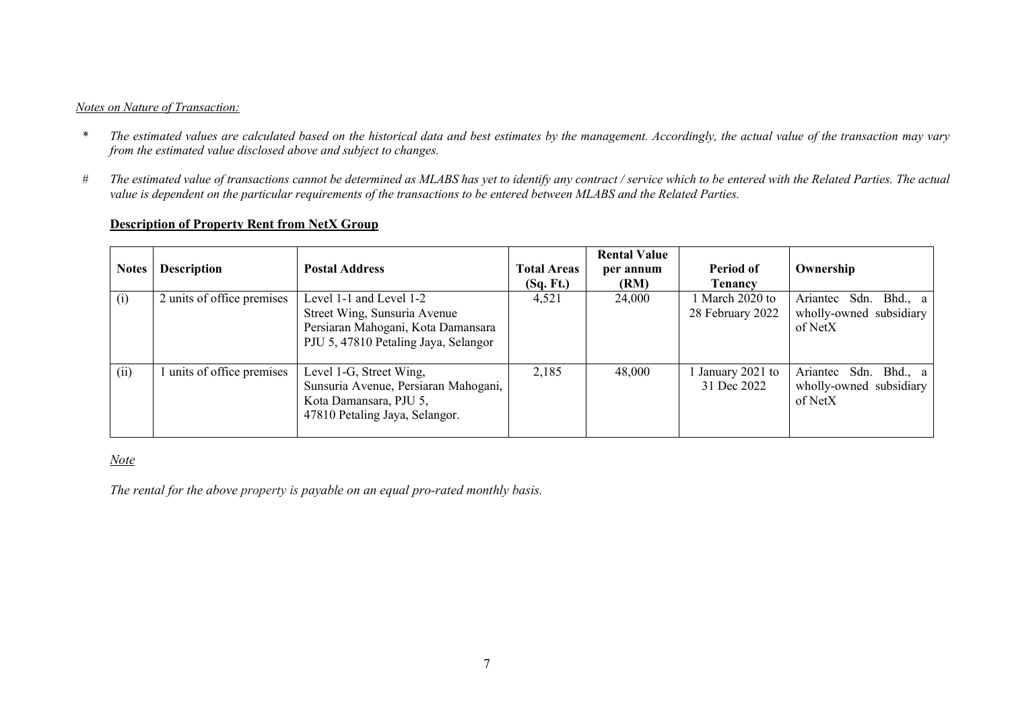### *Notes on Nature of Transaction:*

- *\* The estimated values are calculated based on the historical data and best estimates by the management. Accordingly, the actual value of the transaction may vary from the estimated value disclosed above and subject to changes.*
- *# The estimated value of transactions cannot be determined as MLABS has yet to identify any contract / service which to be entered with the Related Parties. The actual value is dependent on the particular requirements of the transactions to be entered between MLABS and the Related Parties.*

# **Description of Property Rent from NetX Group**

| <b>Notes</b> | <b>Description</b>         | <b>Postal Address</b>                                                                                                                 | <b>Total Areas</b><br>(Sq. Ft.) | <b>Rental Value</b><br>per annum<br>(RM) | Period of<br><b>Tenancy</b>         | Ownership                                                         |
|--------------|----------------------------|---------------------------------------------------------------------------------------------------------------------------------------|---------------------------------|------------------------------------------|-------------------------------------|-------------------------------------------------------------------|
| (i)          | 2 units of office premises | Level 1-1 and Level 1-2<br>Street Wing, Sunsuria Avenue<br>Persiaran Mahogani, Kota Damansara<br>PJU 5, 47810 Petaling Jaya, Selangor | 4,521                           | 24,000                                   | 1 March 2020 to<br>28 February 2022 | Ariantec<br>Bhd., a<br>Sdn.<br>wholly-owned subsidiary<br>of NetX |
| (ii)         | units of office premises   | Level 1-G, Street Wing,<br>Sunsuria Avenue, Persiaran Mahogani,<br>Kota Damansara, PJU 5,<br>47810 Petaling Jaya, Selangor.           | 2,185                           | 48,000                                   | January 2021 to<br>31 Dec 2022      | Ariantec Sdn.<br>Bhd., a<br>wholly-owned subsidiary<br>of NetX    |

### *Note*

*The rental for the above property is payable on an equal pro-rated monthly basis.*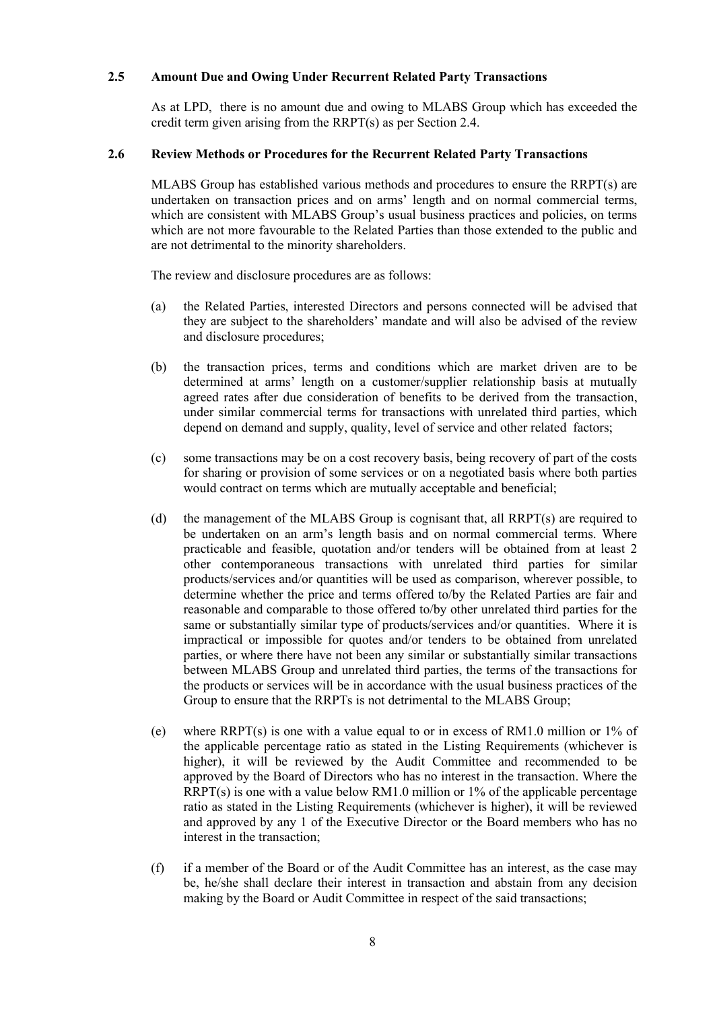#### **2.5 Amount Due and Owing Under Recurrent Related Party Transactions**

As at LPD, there is no amount due and owing to MLABS Group which has exceeded the credit term given arising from the RRPT(s) as per Section 2.4.

#### **2.6 Review Methods or Procedures for the Recurrent Related Party Transactions**

MLABS Group has established various methods and procedures to ensure the RRPT(s) are undertaken on transaction prices and on arms' length and on normal commercial terms, which are consistent with MLABS Group's usual business practices and policies, on terms which are not more favourable to the Related Parties than those extended to the public and are not detrimental to the minority shareholders.

The review and disclosure procedures are as follows:

- (a) the Related Parties, interested Directors and persons connected will be advised that they are subject to the shareholders' mandate and will also be advised of the review and disclosure procedures;
- (b) the transaction prices, terms and conditions which are market driven are to be determined at arms' length on a customer/supplier relationship basis at mutually agreed rates after due consideration of benefits to be derived from the transaction, under similar commercial terms for transactions with unrelated third parties, which depend on demand and supply, quality, level of service and other related factors;
- (c) some transactions may be on a cost recovery basis, being recovery of part of the costs for sharing or provision of some services or on a negotiated basis where both parties would contract on terms which are mutually acceptable and beneficial;
- (d) the management of the MLABS Group is cognisant that, all RRPT(s) are required to be undertaken on an arm's length basis and on normal commercial terms. Where practicable and feasible, quotation and/or tenders will be obtained from at least 2 other contemporaneous transactions with unrelated third parties for similar products/services and/or quantities will be used as comparison, wherever possible, to determine whether the price and terms offered to/by the Related Parties are fair and reasonable and comparable to those offered to/by other unrelated third parties for the same or substantially similar type of products/services and/or quantities. Where it is impractical or impossible for quotes and/or tenders to be obtained from unrelated parties, or where there have not been any similar or substantially similar transactions between MLABS Group and unrelated third parties, the terms of the transactions for the products or services will be in accordance with the usual business practices of the Group to ensure that the RRPTs is not detrimental to the MLABS Group;
- (e) where  $RRPT(s)$  is one with a value equal to or in excess of RM1.0 million or 1% of the applicable percentage ratio as stated in the Listing Requirements (whichever is higher), it will be reviewed by the Audit Committee and recommended to be approved by the Board of Directors who has no interest in the transaction. Where the  $RRPT(s)$  is one with a value below RM1.0 million or 1% of the applicable percentage ratio as stated in the Listing Requirements (whichever is higher), it will be reviewed and approved by any 1 of the Executive Director or the Board members who has no interest in the transaction;
- (f) if a member of the Board or of the Audit Committee has an interest, as the case may be, he/she shall declare their interest in transaction and abstain from any decision making by the Board or Audit Committee in respect of the said transactions;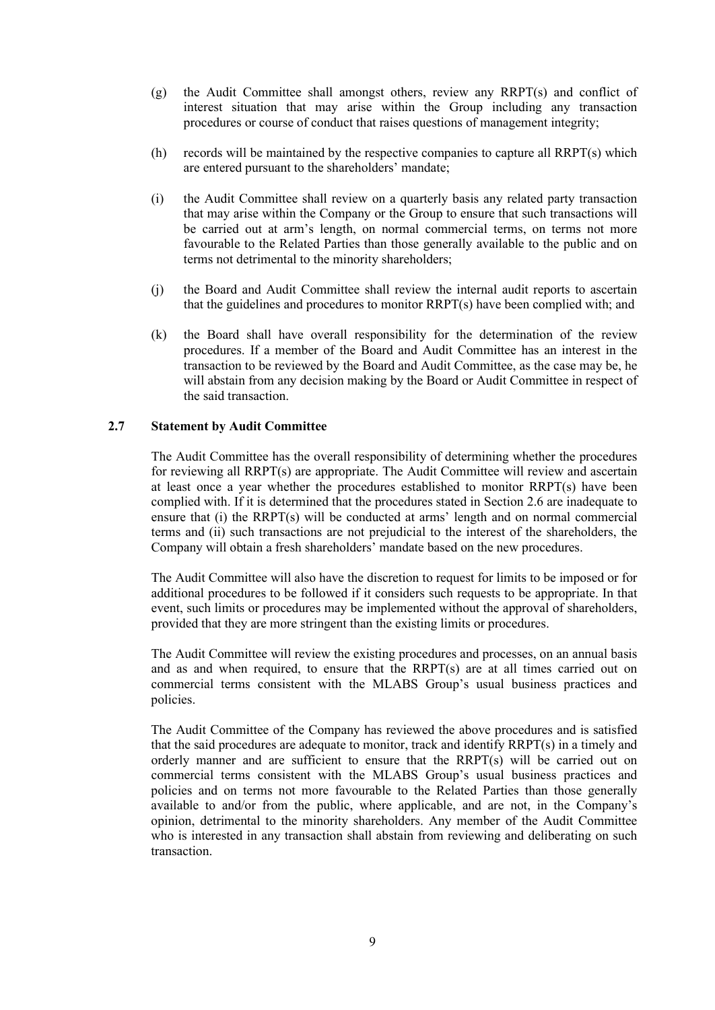- (g) the Audit Committee shall amongst others, review any RRPT(s) and conflict of interest situation that may arise within the Group including any transaction procedures or course of conduct that raises questions of management integrity;
- (h) records will be maintained by the respective companies to capture all RRPT(s) which are entered pursuant to the shareholders' mandate;
- (i) the Audit Committee shall review on a quarterly basis any related party transaction that may arise within the Company or the Group to ensure that such transactions will be carried out at arm's length, on normal commercial terms, on terms not more favourable to the Related Parties than those generally available to the public and on terms not detrimental to the minority shareholders;
- (j) the Board and Audit Committee shall review the internal audit reports to ascertain that the guidelines and procedures to monitor RRPT(s) have been complied with; and
- (k) the Board shall have overall responsibility for the determination of the review procedures. If a member of the Board and Audit Committee has an interest in the transaction to be reviewed by the Board and Audit Committee, as the case may be, he will abstain from any decision making by the Board or Audit Committee in respect of the said transaction.

#### **2.7 Statement by Audit Committee**

The Audit Committee has the overall responsibility of determining whether the procedures for reviewing all RRPT(s) are appropriate. The Audit Committee will review and ascertain at least once a year whether the procedures established to monitor RRPT(s) have been complied with. If it is determined that the procedures stated in Section 2.6 are inadequate to ensure that (i) the RRPT(s) will be conducted at arms' length and on normal commercial terms and (ii) such transactions are not prejudicial to the interest of the shareholders, the Company will obtain a fresh shareholders' mandate based on the new procedures.

The Audit Committee will also have the discretion to request for limits to be imposed or for additional procedures to be followed if it considers such requests to be appropriate. In that event, such limits or procedures may be implemented without the approval of shareholders, provided that they are more stringent than the existing limits or procedures.

The Audit Committee will review the existing procedures and processes, on an annual basis and as and when required, to ensure that the RRPT(s) are at all times carried out on commercial terms consistent with the MLABS Group's usual business practices and policies.

The Audit Committee of the Company has reviewed the above procedures and is satisfied that the said procedures are adequate to monitor, track and identify RRPT(s) in a timely and orderly manner and are sufficient to ensure that the RRPT(s) will be carried out on commercial terms consistent with the MLABS Group's usual business practices and policies and on terms not more favourable to the Related Parties than those generally available to and/or from the public, where applicable, and are not, in the Company's opinion, detrimental to the minority shareholders. Any member of the Audit Committee who is interested in any transaction shall abstain from reviewing and deliberating on such transaction.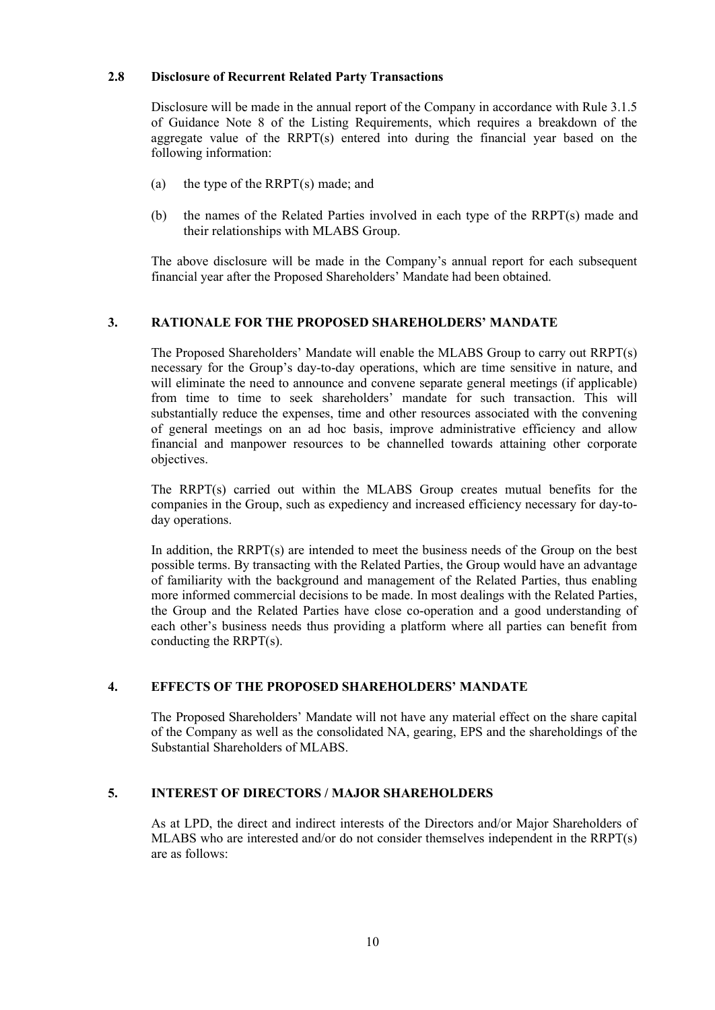#### **2.8 Disclosure of Recurrent Related Party Transactions**

Disclosure will be made in the annual report of the Company in accordance with Rule 3.1.5 of Guidance Note 8 of the Listing Requirements, which requires a breakdown of the aggregate value of the RRPT(s) entered into during the financial year based on the following information:

- (a) the type of the RRPT(s) made; and
- (b) the names of the Related Parties involved in each type of the RRPT(s) made and their relationships with MLABS Group.

The above disclosure will be made in the Company's annual report for each subsequent financial year after the Proposed Shareholders' Mandate had been obtained.

# **3. RATIONALE FOR THE PROPOSED SHAREHOLDERS' MANDATE**

The Proposed Shareholders' Mandate will enable the MLABS Group to carry out RRPT(s) necessary for the Group's day-to-day operations, which are time sensitive in nature, and will eliminate the need to announce and convene separate general meetings (if applicable) from time to time to seek shareholders' mandate for such transaction. This will substantially reduce the expenses, time and other resources associated with the convening of general meetings on an ad hoc basis, improve administrative efficiency and allow financial and manpower resources to be channelled towards attaining other corporate objectives.

The RRPT(s) carried out within the MLABS Group creates mutual benefits for the companies in the Group, such as expediency and increased efficiency necessary for day-today operations.

In addition, the RRPT(s) are intended to meet the business needs of the Group on the best possible terms. By transacting with the Related Parties, the Group would have an advantage of familiarity with the background and management of the Related Parties, thus enabling more informed commercial decisions to be made. In most dealings with the Related Parties, the Group and the Related Parties have close co-operation and a good understanding of each other's business needs thus providing a platform where all parties can benefit from conducting the RRPT(s).

# **4. EFFECTS OF THE PROPOSED SHAREHOLDERS' MANDATE**

The Proposed Shareholders' Mandate will not have any material effect on the share capital of the Company as well as the consolidated NA, gearing, EPS and the shareholdings of the Substantial Shareholders of MLABS.

# **5. INTEREST OF DIRECTORS / MAJOR SHAREHOLDERS**

As at LPD, the direct and indirect interests of the Directors and/or Major Shareholders of MLABS who are interested and/or do not consider themselves independent in the RRPT(s) are as follows: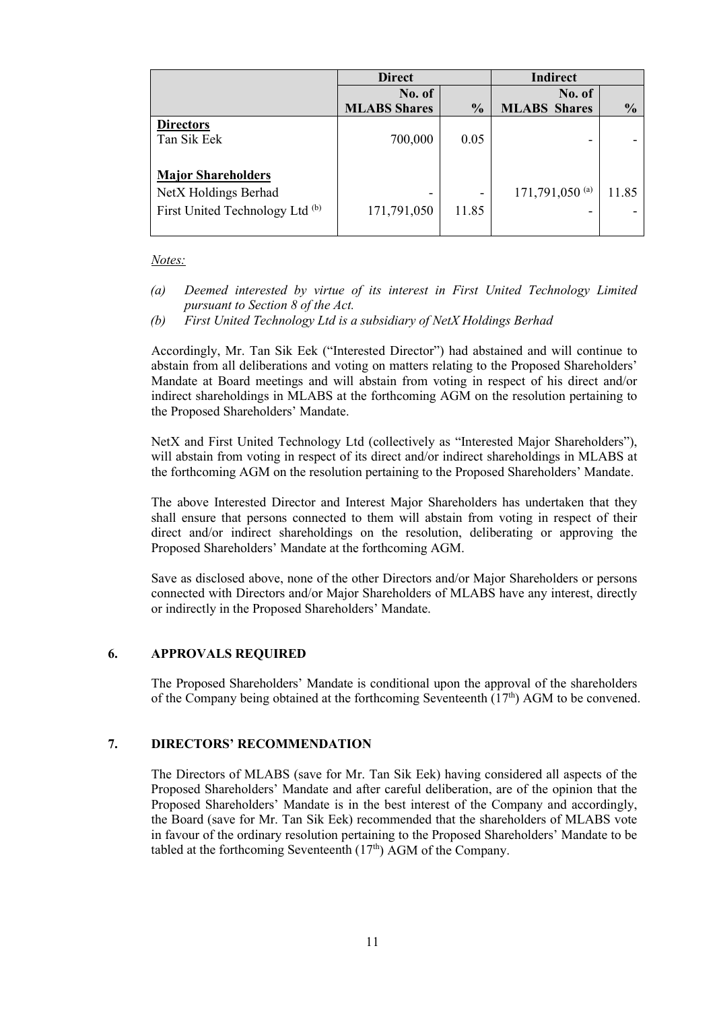|                                            | <b>Direct</b>       |               | <b>Indirect</b>            |               |  |
|--------------------------------------------|---------------------|---------------|----------------------------|---------------|--|
|                                            | No. of              |               | No. of                     |               |  |
|                                            | <b>MLABS Shares</b> | $\frac{0}{0}$ | <b>MLABS</b> Shares        | $\frac{0}{0}$ |  |
| <b>Directors</b>                           |                     |               |                            |               |  |
| Tan Sik Eek                                | 700,000             | 0.05          | -                          |               |  |
|                                            |                     |               |                            |               |  |
| <b>Major Shareholders</b>                  |                     |               |                            |               |  |
| NetX Holdings Berhad                       | -                   | -             | 171,791,050 <sup>(a)</sup> | 11.85         |  |
| First United Technology Ltd <sup>(b)</sup> | 171,791,050         | 11.85         |                            |               |  |
|                                            |                     |               |                            |               |  |

#### *Notes:*

- *(a) Deemed interested by virtue of its interest in First United Technology Limited pursuant to Section 8 of the Act.*
- *(b) First United Technology Ltd is a subsidiary of NetX Holdings Berhad*

Accordingly, Mr. Tan Sik Eek ("Interested Director") had abstained and will continue to abstain from all deliberations and voting on matters relating to the Proposed Shareholders' Mandate at Board meetings and will abstain from voting in respect of his direct and/or indirect shareholdings in MLABS at the forthcoming AGM on the resolution pertaining to the Proposed Shareholders' Mandate.

NetX and First United Technology Ltd (collectively as "Interested Major Shareholders"), will abstain from voting in respect of its direct and/or indirect shareholdings in MLABS at the forthcoming AGM on the resolution pertaining to the Proposed Shareholders' Mandate.

The above Interested Director and Interest Major Shareholders has undertaken that they shall ensure that persons connected to them will abstain from voting in respect of their direct and/or indirect shareholdings on the resolution, deliberating or approving the Proposed Shareholders' Mandate at the forthcoming AGM.

Save as disclosed above, none of the other Directors and/or Major Shareholders or persons connected with Directors and/or Major Shareholders of MLABS have any interest, directly or indirectly in the Proposed Shareholders' Mandate.

#### **6. APPROVALS REQUIRED**

The Proposed Shareholders' Mandate is conditional upon the approval of the shareholders of the Company being obtained at the forthcoming Seventeenth  $(17<sup>th</sup>)$  AGM to be convened.

#### **7. DIRECTORS' RECOMMENDATION**

The Directors of MLABS (save for Mr. Tan Sik Eek) having considered all aspects of the Proposed Shareholders' Mandate and after careful deliberation, are of the opinion that the Proposed Shareholders' Mandate is in the best interest of the Company and accordingly, the Board (save for Mr. Tan Sik Eek) recommended that the shareholders of MLABS vote in favour of the ordinary resolution pertaining to the Proposed Shareholders' Mandate to be tabled at the forthcoming Seventeenth  $(17<sup>th</sup>)$  AGM of the Company.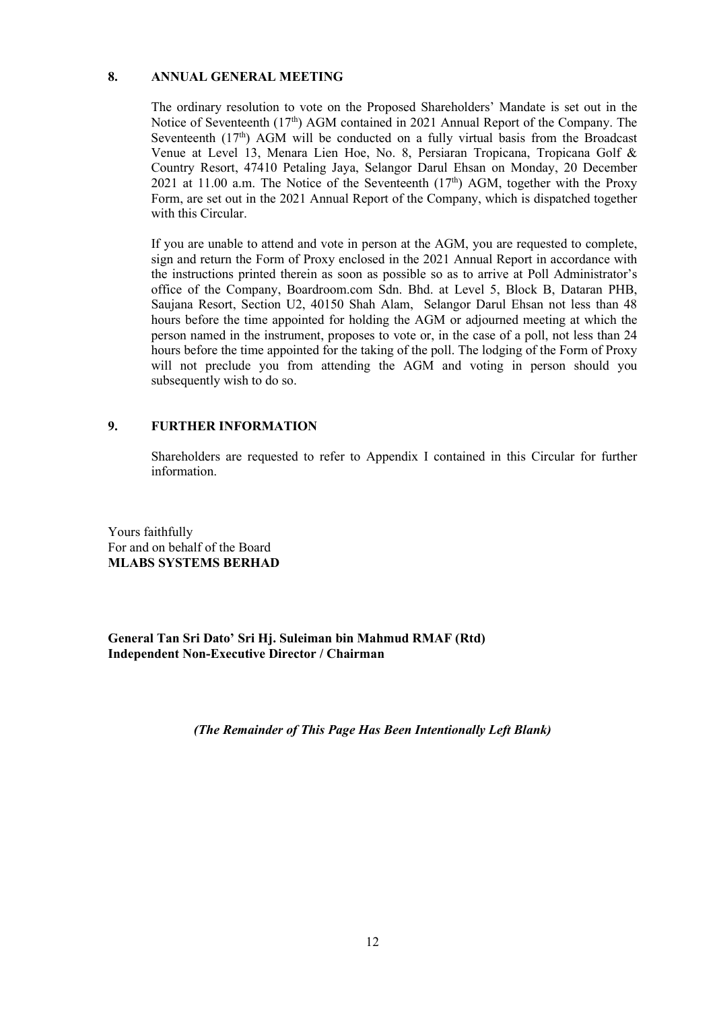#### **8. ANNUAL GENERAL MEETING**

The ordinary resolution to vote on the Proposed Shareholders' Mandate is set out in the Notice of Seventeenth (17<sup>th</sup>) AGM contained in 2021 Annual Report of the Company. The Seventeenth  $(17<sup>th</sup>)$  AGM will be conducted on a fully virtual basis from the Broadcast Venue at Level 13, Menara Lien Hoe, No. 8, Persiaran Tropicana, Tropicana Golf & Country Resort, 47410 Petaling Jaya, Selangor Darul Ehsan on Monday, 20 December 2021 at 11.00 a.m. The Notice of the Seventeenth  $(17<sup>th</sup>)$  AGM, together with the Proxy Form, are set out in the 2021 Annual Report of the Company, which is dispatched together with this Circular.

If you are unable to attend and vote in person at the AGM, you are requested to complete, sign and return the Form of Proxy enclosed in the 2021 Annual Report in accordance with the instructions printed therein as soon as possible so as to arrive at Poll Administrator's office of the Company, Boardroom.com Sdn. Bhd. at Level 5, Block B, Dataran PHB, Saujana Resort, Section U2, 40150 Shah Alam, Selangor Darul Ehsan not less than 48 hours before the time appointed for holding the AGM or adjourned meeting at which the person named in the instrument, proposes to vote or, in the case of a poll, not less than 24 hours before the time appointed for the taking of the poll. The lodging of the Form of Proxy will not preclude you from attending the AGM and voting in person should you subsequently wish to do so.

### **9. FURTHER INFORMATION**

Shareholders are requested to refer to Appendix I contained in this Circular for further information.

Yours faithfully For and on behalf of the Board **MLABS SYSTEMS BERHAD**

**General Tan Sri Dato' Sri Hj. Suleiman bin Mahmud RMAF (Rtd) Independent Non-Executive Director / Chairman**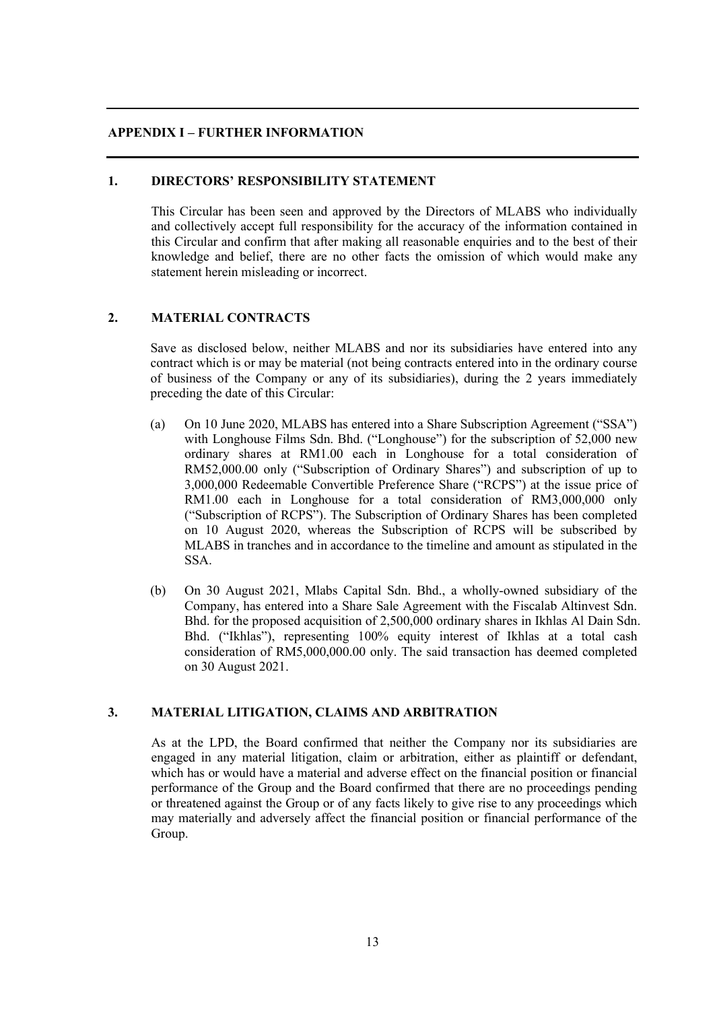#### **APPENDIX I – FURTHER INFORMATION**

#### **1. DIRECTORS' RESPONSIBILITY STATEMENT**

This Circular has been seen and approved by the Directors of MLABS who individually and collectively accept full responsibility for the accuracy of the information contained in this Circular and confirm that after making all reasonable enquiries and to the best of their knowledge and belief, there are no other facts the omission of which would make any statement herein misleading or incorrect.

#### **2. MATERIAL CONTRACTS**

Save as disclosed below, neither MLABS and nor its subsidiaries have entered into any contract which is or may be material (not being contracts entered into in the ordinary course of business of the Company or any of its subsidiaries), during the 2 years immediately preceding the date of this Circular:

- (a) On 10 June 2020, MLABS has entered into a Share Subscription Agreement ("SSA") with Longhouse Films Sdn. Bhd. ("Longhouse") for the subscription of 52,000 new ordinary shares at RM1.00 each in Longhouse for a total consideration of RM52,000.00 only ("Subscription of Ordinary Shares") and subscription of up to 3,000,000 Redeemable Convertible Preference Share ("RCPS") at the issue price of RM1.00 each in Longhouse for a total consideration of RM3,000,000 only ("Subscription of RCPS"). The Subscription of Ordinary Shares has been completed on 10 August 2020, whereas the Subscription of RCPS will be subscribed by MLABS in tranches and in accordance to the timeline and amount as stipulated in the SSA.
- (b) On 30 August 2021, Mlabs Capital Sdn. Bhd., a wholly-owned subsidiary of the Company, has entered into a Share Sale Agreement with the Fiscalab Altinvest Sdn. Bhd. for the proposed acquisition of 2,500,000 ordinary shares in Ikhlas Al Dain Sdn. Bhd. ("Ikhlas"), representing 100% equity interest of Ikhlas at a total cash consideration of RM5,000,000.00 only. The said transaction has deemed completed on 30 August 2021.

# **3. MATERIAL LITIGATION, CLAIMS AND ARBITRATION**

As at the LPD, the Board confirmed that neither the Company nor its subsidiaries are engaged in any material litigation, claim or arbitration, either as plaintiff or defendant, which has or would have a material and adverse effect on the financial position or financial performance of the Group and the Board confirmed that there are no proceedings pending or threatened against the Group or of any facts likely to give rise to any proceedings which may materially and adversely affect the financial position or financial performance of the Group.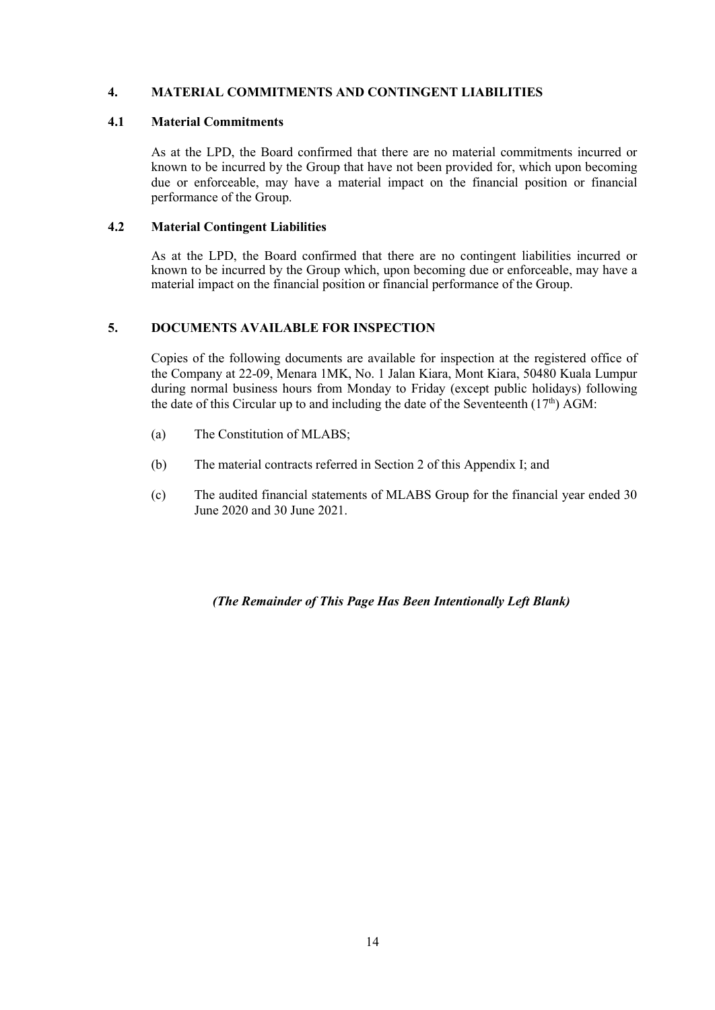### **4. MATERIAL COMMITMENTS AND CONTINGENT LIABILITIES**

#### **4.1 Material Commitments**

As at the LPD, the Board confirmed that there are no material commitments incurred or known to be incurred by the Group that have not been provided for, which upon becoming due or enforceable, may have a material impact on the financial position or financial performance of the Group.

#### **4.2 Material Contingent Liabilities**

As at the LPD, the Board confirmed that there are no contingent liabilities incurred or known to be incurred by the Group which, upon becoming due or enforceable, may have a material impact on the financial position or financial performance of the Group.

#### **5. DOCUMENTS AVAILABLE FOR INSPECTION**

Copies of the following documents are available for inspection at the registered office of the Company at 22-09, Menara 1MK, No. 1 Jalan Kiara, Mont Kiara, 50480 Kuala Lumpur during normal business hours from Monday to Friday (except public holidays) following the date of this Circular up to and including the date of the Seventeenth  $(17<sup>th</sup>)$  AGM:

- (a) The Constitution of MLABS;
- (b) The material contracts referred in Section 2 of this Appendix I; and
- (c) The audited financial statements of MLABS Group for the financial year ended 30 June 2020 and 30 June 2021.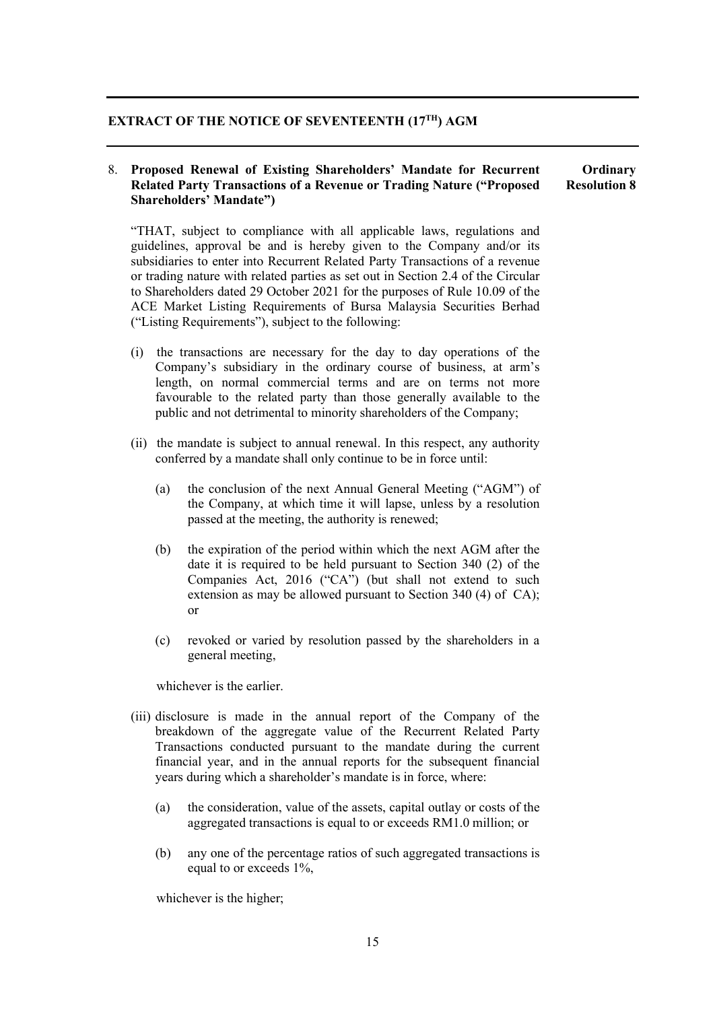# **EXTRACT OF THE NOTICE OF SEVENTEENTH (17TH) AGM**

#### 8. **Proposed Renewal of Existing Shareholders' Mandate for Recurrent Related Party Transactions of a Revenue or Trading Nature ("Proposed Shareholders' Mandate") Ordinary Resolution 8**

"THAT, subject to compliance with all applicable laws, regulations and guidelines, approval be and is hereby given to the Company and/or its subsidiaries to enter into Recurrent Related Party Transactions of a revenue or trading nature with related parties as set out in Section 2.4 of the Circular to Shareholders dated 29 October 2021 for the purposes of Rule 10.09 of the ACE Market Listing Requirements of Bursa Malaysia Securities Berhad ("Listing Requirements"), subject to the following:

- (i) the transactions are necessary for the day to day operations of the Company's subsidiary in the ordinary course of business, at arm's length, on normal commercial terms and are on terms not more favourable to the related party than those generally available to the public and not detrimental to minority shareholders of the Company;
- (ii) the mandate is subject to annual renewal. In this respect, any authority conferred by a mandate shall only continue to be in force until:
	- (a) the conclusion of the next Annual General Meeting ("AGM") of the Company, at which time it will lapse, unless by a resolution passed at the meeting, the authority is renewed;
	- (b) the expiration of the period within which the next AGM after the date it is required to be held pursuant to Section 340 (2) of the Companies Act, 2016 ("CA") (but shall not extend to such extension as may be allowed pursuant to Section 340 (4) of CA); or
	- (c) revoked or varied by resolution passed by the shareholders in a general meeting,

whichever is the earlier.

- (iii) disclosure is made in the annual report of the Company of the breakdown of the aggregate value of the Recurrent Related Party Transactions conducted pursuant to the mandate during the current financial year, and in the annual reports for the subsequent financial years during which a shareholder's mandate is in force, where:
	- (a) the consideration, value of the assets, capital outlay or costs of the aggregated transactions is equal to or exceeds RM1.0 million; or
	- (b) any one of the percentage ratios of such aggregated transactions is equal to or exceeds 1%,

whichever is the higher;